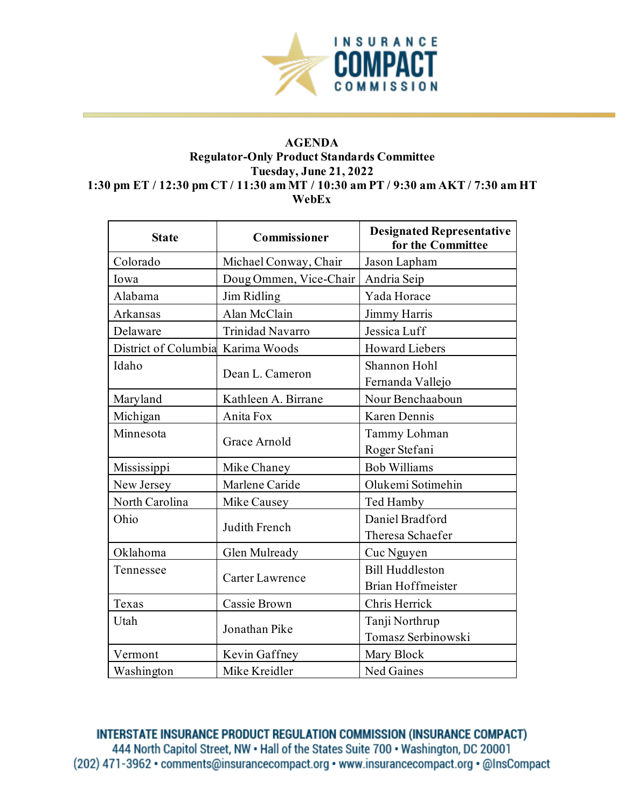

## **AGENDA Regulator-Only Product Standards Committee Tuesday, June 21, 2022 1:30 pm ET / 12:30 pm CT / 11:30 am MT / 10:30 am PT / 9:30 am AKT / 7:30 am HT WebEx**

| <b>State</b>         | <b>Commissioner</b>    | <b>Designated Representative</b><br>for the Committee |
|----------------------|------------------------|-------------------------------------------------------|
| Colorado             | Michael Conway, Chair  | Jason Lapham                                          |
| Iowa                 | Doug Ommen, Vice-Chair | Andria Seip                                           |
| Alabama              | Jim Ridling            | Yada Horace                                           |
| Arkansas             | Alan McClain           | Jimmy Harris                                          |
| Delaware             | Trinidad Navarro       | Jessica Luff                                          |
| District of Columbia | Karima Woods           | <b>Howard Liebers</b>                                 |
| Idaho                | Dean L. Cameron        | Shannon Hohl                                          |
|                      |                        | Fernanda Vallejo                                      |
| Maryland             | Kathleen A. Birrane    | Nour Benchaaboun                                      |
| Michigan             | Anita Fox              | Karen Dennis                                          |
| Minnesota            | Grace Arnold           | Tammy Lohman                                          |
|                      |                        | Roger Stefani                                         |
| Mississippi          | Mike Chaney            | <b>Bob Williams</b>                                   |
| New Jersey           | Marlene Caride         | Olukemi Sotimehin                                     |
| North Carolina       | Mike Causey            | Ted Hamby                                             |
| Ohio                 | Judith French          | Daniel Bradford                                       |
|                      |                        | Theresa Schaefer                                      |
| Oklahoma             | Glen Mulready          | Cuc Nguyen                                            |
| Tennessee            | Carter Lawrence        | <b>Bill Huddleston</b>                                |
|                      |                        | Brian Hoffmeister                                     |
| Texas                | Cassie Brown           | Chris Herrick                                         |
| Utah                 | Jonathan Pike          | Tanji Northrup                                        |
|                      |                        | Tomasz Serbinowski                                    |
| Vermont              | Kevin Gaffney          | Mary Block                                            |
| Washington           | Mike Kreidler          | Ned Gaines                                            |